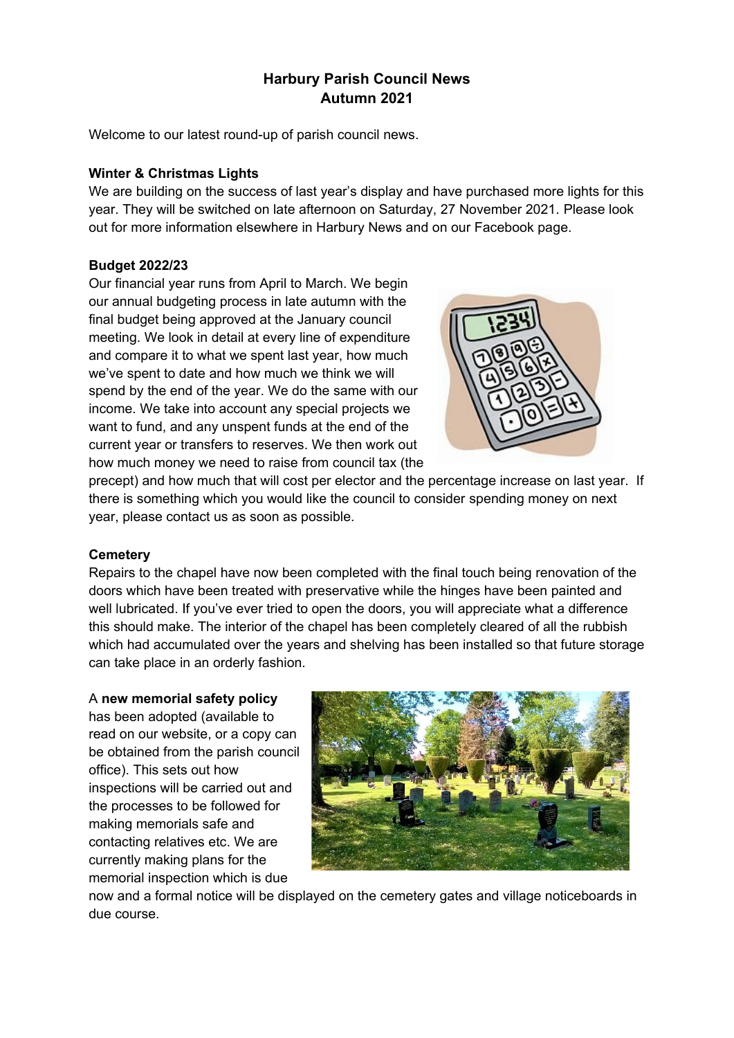# **Harbury Parish Council News Autumn 2021**

Welcome to our latest round-up of parish council news.

### **Winter & Christmas Lights**

We are building on the success of last year's display and have purchased more lights for this year. They will be switched on late afternoon on Saturday, 27 November 2021. Please look out for more information elsewhere in Harbury News and on our Facebook page.

# **Budget 2022/23**

Our financial year runs from April to March. We begin our annual budgeting process in late autumn with the final budget being approved at the January council meeting. We look in detail at every line of expenditure and compare it to what we spent last year, how much we've spent to date and how much we think we will spend by the end of the year. We do the same with our income. We take into account any special projects we want to fund, and any unspent funds at the end of the current year or transfers to reserves. We then work out how much money we need to raise from council tax (the



precept) and how much that will cost per elector and the percentage increase on last year. If there is something which you would like the council to consider spending money on next year, please contact us as soon as possible.

# **Cemetery**

Repairs to the chapel have now been completed with the final touch being renovation of the doors which have been treated with preservative while the hinges have been painted and well lubricated. If you've ever tried to open the doors, you will appreciate what a difference this should make. The interior of the chapel has been completely cleared of all the rubbish which had accumulated over the years and shelving has been installed so that future storage can take place in an orderly fashion.

#### A **new memorial safety policy**

has been adopted (available to read on our website, or a copy can be obtained from the parish council office). This sets out how inspections will be carried out and the processes to be followed for making memorials safe and contacting relatives etc. We are currently making plans for the memorial inspection which is due



now and a formal notice will be displayed on the cemetery gates and village noticeboards in due course.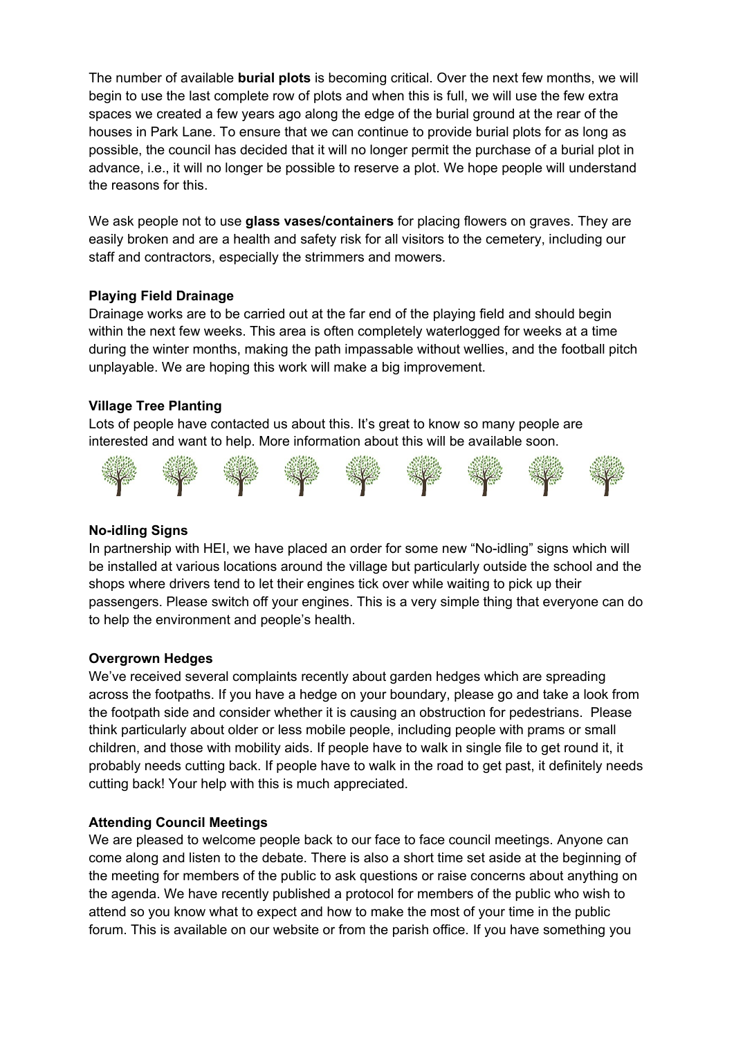The number of available **burial plots** is becoming critical. Over the next few months, we will begin to use the last complete row of plots and when this is full, we will use the few extra spaces we created a few years ago along the edge of the burial ground at the rear of the houses in Park Lane. To ensure that we can continue to provide burial plots for as long as possible, the council has decided that it will no longer permit the purchase of a burial plot in advance, i.e., it will no longer be possible to reserve a plot. We hope people will understand the reasons for this.

We ask people not to use **glass vases/containers** for placing flowers on graves. They are easily broken and are a health and safety risk for all visitors to the cemetery, including our staff and contractors, especially the strimmers and mowers.

## **Playing Field Drainage**

Drainage works are to be carried out at the far end of the playing field and should begin within the next few weeks. This area is often completely waterlogged for weeks at a time during the winter months, making the path impassable without wellies, and the football pitch unplayable. We are hoping this work will make a big improvement.

## **Village Tree Planting**

Lots of people have contacted us about this. It's great to know so many people are interested and want to help. More information about this will be available soon.



#### **[No-idl](http://superawesomevectors.deviantart.com/art/Free-Vector-Tree-Illustration-643397711)ing [Signs](http://superawesomevectors.deviantart.com/art/Free-Vector-Tree-Illustration-643397711)**

In partnership with HEI, we have placed an order for some new "No-idling" signs which will be installed at various locations around the village but particularly outside the school and the shops where drivers tend to let their engines tick over while waiting to pick up their pass[enge](https://creativecommons.org/licenses/by/3.0/)rs. Pl[ease](https://creativecommons.org/licenses/by/3.0/) switc[h off](https://creativecommons.org/licenses/by/3.0/) your [engi](https://creativecommons.org/licenses/by/3.0/)nes. T[his i](https://creativecommons.org/licenses/by/3.0/)s [a v](https://creativecommons.org/licenses/by/3.0/)e[ry simple](https://creativecommons.org/licenses/by/3.0/) t[hing](https://creativecommons.org/licenses/by/3.0/) t[hat](https://creativecommons.org/licenses/by/3.0/) e[veryone](https://creativecommons.org/licenses/by/3.0/) c[an d](https://creativecommons.org/licenses/by/3.0/)o t[o he](https://creativecommons.org/licenses/by/3.0/)lp the [env](https://creativecommons.org/licenses/by/3.0/)ironm[ent a](https://creativecommons.org/licenses/by/3.0/)nd pe[ople](https://creativecommons.org/licenses/by/3.0/)'s hea[lth.](https://creativecommons.org/licenses/by/3.0/) 

#### **Overgrown Hedges**

We've received several complaints recently about garden hedges which are spreading across the footpaths. If you have a hedge on your boundary, please go and take a look from the footpath side and consider whether it is causing an obstruction for pedestrians. Please think particularly about older or less mobile people, including people with prams or small children, and those with mobility aids. If people have to walk in single file to get round it, it probably needs cutting back. If people have to walk in the road to get past, it definitely needs cutting back! Your help with this is much appreciated.

#### **Attending Council Meetings**

We are pleased to welcome people back to our face to face council meetings. Anyone can come along and listen to the debate. There is also a short time set aside at the beginning of the meeting for members of the public to ask questions or raise concerns about anything on the agenda. We have recently published a protocol for members of the public who wish to attend so you know what to expect and how to make the most of your time in the public forum. This is available on our website or from the parish office. If you have something you